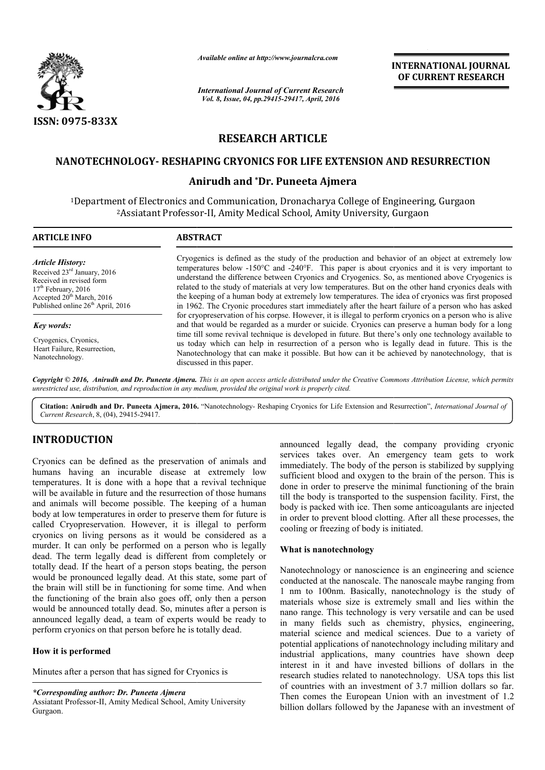

*Available online at http://www.journalcra.com*

# **RESEARCH ARTICLE**

## **NANOTECHNOLOGY- RESHAPING CRYONICS FOR LIFE EXTENSION AND RESURRECTION RESHAPING CRYONICS FOR**

# **Anirudh and \*Dr. Puneeta Ajmera**

|                                                                                                                                                                                                                                                                                                                                                                                                                                                                                                                                                                                                                           | лтанион опине игнир.//www.journancra.com<br><b>International Journal of Current Research</b><br>Vol. 8, Issue, 04, pp.29415-29417, April, 2016                                                                                                                                                                                                                                                                                                                                                                                                                                                                                                                                                                                                                                                                                                                                                                                                                                                                                                                                                                                                                                                                       |                                                                                                                                                                                                                                                                                                                                                                                                                                                                                                                                               | <b>INTERNATIONAL JOURNAL</b><br>OF CURRENT RESEARCH                                                                                                                                                                                                                                                                                                                                                                                                                                                                                |
|---------------------------------------------------------------------------------------------------------------------------------------------------------------------------------------------------------------------------------------------------------------------------------------------------------------------------------------------------------------------------------------------------------------------------------------------------------------------------------------------------------------------------------------------------------------------------------------------------------------------------|----------------------------------------------------------------------------------------------------------------------------------------------------------------------------------------------------------------------------------------------------------------------------------------------------------------------------------------------------------------------------------------------------------------------------------------------------------------------------------------------------------------------------------------------------------------------------------------------------------------------------------------------------------------------------------------------------------------------------------------------------------------------------------------------------------------------------------------------------------------------------------------------------------------------------------------------------------------------------------------------------------------------------------------------------------------------------------------------------------------------------------------------------------------------------------------------------------------------|-----------------------------------------------------------------------------------------------------------------------------------------------------------------------------------------------------------------------------------------------------------------------------------------------------------------------------------------------------------------------------------------------------------------------------------------------------------------------------------------------------------------------------------------------|------------------------------------------------------------------------------------------------------------------------------------------------------------------------------------------------------------------------------------------------------------------------------------------------------------------------------------------------------------------------------------------------------------------------------------------------------------------------------------------------------------------------------------|
|                                                                                                                                                                                                                                                                                                                                                                                                                                                                                                                                                                                                                           |                                                                                                                                                                                                                                                                                                                                                                                                                                                                                                                                                                                                                                                                                                                                                                                                                                                                                                                                                                                                                                                                                                                                                                                                                      |                                                                                                                                                                                                                                                                                                                                                                                                                                                                                                                                               |                                                                                                                                                                                                                                                                                                                                                                                                                                                                                                                                    |
| ISSN: 0975-833X                                                                                                                                                                                                                                                                                                                                                                                                                                                                                                                                                                                                           |                                                                                                                                                                                                                                                                                                                                                                                                                                                                                                                                                                                                                                                                                                                                                                                                                                                                                                                                                                                                                                                                                                                                                                                                                      |                                                                                                                                                                                                                                                                                                                                                                                                                                                                                                                                               |                                                                                                                                                                                                                                                                                                                                                                                                                                                                                                                                    |
|                                                                                                                                                                                                                                                                                                                                                                                                                                                                                                                                                                                                                           | <b>RESEARCH ARTICLE</b>                                                                                                                                                                                                                                                                                                                                                                                                                                                                                                                                                                                                                                                                                                                                                                                                                                                                                                                                                                                                                                                                                                                                                                                              |                                                                                                                                                                                                                                                                                                                                                                                                                                                                                                                                               |                                                                                                                                                                                                                                                                                                                                                                                                                                                                                                                                    |
|                                                                                                                                                                                                                                                                                                                                                                                                                                                                                                                                                                                                                           | NANOTECHNOLOGY- RESHAPING CRYONICS FOR LIFE EXTENSION AND RESURRECTION                                                                                                                                                                                                                                                                                                                                                                                                                                                                                                                                                                                                                                                                                                                                                                                                                                                                                                                                                                                                                                                                                                                                               |                                                                                                                                                                                                                                                                                                                                                                                                                                                                                                                                               |                                                                                                                                                                                                                                                                                                                                                                                                                                                                                                                                    |
|                                                                                                                                                                                                                                                                                                                                                                                                                                                                                                                                                                                                                           |                                                                                                                                                                                                                                                                                                                                                                                                                                                                                                                                                                                                                                                                                                                                                                                                                                                                                                                                                                                                                                                                                                                                                                                                                      | Anirudh and *Dr. Puneeta Ajmera                                                                                                                                                                                                                                                                                                                                                                                                                                                                                                               |                                                                                                                                                                                                                                                                                                                                                                                                                                                                                                                                    |
|                                                                                                                                                                                                                                                                                                                                                                                                                                                                                                                                                                                                                           | <sup>1</sup> Department of Electronics and Communication, Dronacharya College of Engineering, Gurgaon<br><sup>2</sup> Assiatant Professor-II, Amity Medical School, Amity University, Gurgaon                                                                                                                                                                                                                                                                                                                                                                                                                                                                                                                                                                                                                                                                                                                                                                                                                                                                                                                                                                                                                        |                                                                                                                                                                                                                                                                                                                                                                                                                                                                                                                                               |                                                                                                                                                                                                                                                                                                                                                                                                                                                                                                                                    |
| <b>ARTICLE INFO</b>                                                                                                                                                                                                                                                                                                                                                                                                                                                                                                                                                                                                       | <b>ABSTRACT</b>                                                                                                                                                                                                                                                                                                                                                                                                                                                                                                                                                                                                                                                                                                                                                                                                                                                                                                                                                                                                                                                                                                                                                                                                      |                                                                                                                                                                                                                                                                                                                                                                                                                                                                                                                                               |                                                                                                                                                                                                                                                                                                                                                                                                                                                                                                                                    |
| <b>Article History:</b><br>Received 23rd January, 2016<br>Received in revised form<br>17 <sup>th</sup> February, 2016<br>Accepted 20 <sup>th</sup> March, 2016<br>Published online 26 <sup>th</sup> April, 2016                                                                                                                                                                                                                                                                                                                                                                                                           | Cryogenics is defined as the study of the production and behavior of an object at extremely low<br>temperatures below $-150^{\circ}\text{C}$ and $-240^{\circ}\text{F}$ . This paper is about cryonics and it is very important to<br>understand the difference between Cryonics and Cryogenics. So, as mentioned above Cryogenics is<br>related to the study of materials at very low temperatures. But on the other hand cryonics deals with<br>the keeping of a human body at extremely low temperatures. The idea of cryonics was first proposed<br>in 1962. The Cryonic procedures start immediately after the heart failure of a person who has asked<br>for cryopreservation of his corpse. However, it is illegal to perform cryonics on a person who is alive<br>and that would be regarded as a murder or suicide. Cryonics can preserve a human body for a long<br>time till some revival technique is developed in future. But there's only one technology available to<br>us today which can help in resurrection of a person who is legally dead in future. This is the<br>Nanotechnology that can make it possible. But how can it be achieved by nanotechnology, that is<br>discussed in this paper. |                                                                                                                                                                                                                                                                                                                                                                                                                                                                                                                                               |                                                                                                                                                                                                                                                                                                                                                                                                                                                                                                                                    |
| Key words:<br>Cryogenics, Cryonics,<br>Heart Failure, Resurrection,<br>Nanotechnology.                                                                                                                                                                                                                                                                                                                                                                                                                                                                                                                                    |                                                                                                                                                                                                                                                                                                                                                                                                                                                                                                                                                                                                                                                                                                                                                                                                                                                                                                                                                                                                                                                                                                                                                                                                                      |                                                                                                                                                                                                                                                                                                                                                                                                                                                                                                                                               |                                                                                                                                                                                                                                                                                                                                                                                                                                                                                                                                    |
| Current Research, 8, (04), 29415-29417.                                                                                                                                                                                                                                                                                                                                                                                                                                                                                                                                                                                   | unrestricted use, distribution, and reproduction in any medium, provided the original work is properly cited.                                                                                                                                                                                                                                                                                                                                                                                                                                                                                                                                                                                                                                                                                                                                                                                                                                                                                                                                                                                                                                                                                                        |                                                                                                                                                                                                                                                                                                                                                                                                                                                                                                                                               | Copyright © 2016, Anirudh and Dr. Puneeta Ajmera. This is an open access article distributed under the Creative Commons Attribution License, which permits<br>Citation: Anirudh and Dr. Puneeta Ajmera, 2016. "Nanotechnology- Reshaping Cryonics for Life Extension and Resurrection", International Journal of                                                                                                                                                                                                                   |
| <b>INTRODUCTION</b><br>Cryonics can be defined as the preservation of animals and<br>humans having an incurable disease at extremely low<br>temperatures. It is done with a hope that a revival technique<br>will be available in future and the resurrection of those humans<br>and animals will become possible. The keeping of a human<br>body at low temperatures in order to preserve them for future is<br>called Cryopreservation. However, it is illegal to perform<br>cryonics on living persons as it would be considered as a                                                                                  |                                                                                                                                                                                                                                                                                                                                                                                                                                                                                                                                                                                                                                                                                                                                                                                                                                                                                                                                                                                                                                                                                                                                                                                                                      | cooling or freezing of body is initiated.                                                                                                                                                                                                                                                                                                                                                                                                                                                                                                     | announced legally dead, the company providing cryonic<br>services takes over. An emergency team gets to work<br>immediately. The body of the person is stabilized by supplying<br>sufficient blood and oxygen to the brain of the person. This is<br>done in order to preserve the minimal functioning of the brain<br>till the body is transported to the suspension facility. First, the<br>body is packed with ice. Then some anticoagulants are injected<br>in order to prevent blood clotting. After all these processes, the |
| murder. It can only be performed on a person who is legally<br>dead. The term legally dead is different from completely or<br>totally dead. If the heart of a person stops beating, the person<br>would be pronounced legally dead. At this state, some part of<br>the brain will still be in functioning for some time. And when<br>the functioning of the brain also goes off, only then a person<br>would be announced totally dead. So, minutes after a person is<br>announced legally dead, a team of experts would be ready to<br>perform cryonics on that person before he is totally dead.<br>How it is performed |                                                                                                                                                                                                                                                                                                                                                                                                                                                                                                                                                                                                                                                                                                                                                                                                                                                                                                                                                                                                                                                                                                                                                                                                                      | What is nanotechnology<br>Nanotechnology or nanoscience is an engineering and science<br>conducted at the nanoscale. The nanoscale maybe ranging from<br>1 nm to 100nm. Basically, nanotechnology is the study of<br>materials whose size is extremely small and lies within the<br>nano range. This technology is very versatile and can be used<br>in many fields such as chemistry, physics, engineering,<br>material science and medical sciences. Due to a variety of<br>potential applications of nanotechnology including military and |                                                                                                                                                                                                                                                                                                                                                                                                                                                                                                                                    |
| Minutes after a person that has signed for Cryonics is<br>*Corresponding author: Dr. Puneeta Ajmera<br>Assiatant Professor-II, Amity Medical School, Amity University                                                                                                                                                                                                                                                                                                                                                                                                                                                     |                                                                                                                                                                                                                                                                                                                                                                                                                                                                                                                                                                                                                                                                                                                                                                                                                                                                                                                                                                                                                                                                                                                                                                                                                      |                                                                                                                                                                                                                                                                                                                                                                                                                                                                                                                                               | industrial applications, many countries have shown deep<br>interest in it and have invested billions of dollars in the<br>research studies related to nanotechnology. USA tops this list<br>of countries with an investment of 3.7 million dollars so far.<br>Then comes the European Union with an investment of 1.2                                                                                                                                                                                                              |
| Gurgaon                                                                                                                                                                                                                                                                                                                                                                                                                                                                                                                                                                                                                   |                                                                                                                                                                                                                                                                                                                                                                                                                                                                                                                                                                                                                                                                                                                                                                                                                                                                                                                                                                                                                                                                                                                                                                                                                      |                                                                                                                                                                                                                                                                                                                                                                                                                                                                                                                                               | billion dollars followed by the Japanese with an investment of                                                                                                                                                                                                                                                                                                                                                                                                                                                                     |

## **INTRODUCTION**

### **How it is performed**

Assiatant Professor-II, Amity Medical School, Amity University Gurgaon.

## **What is nanotechnology**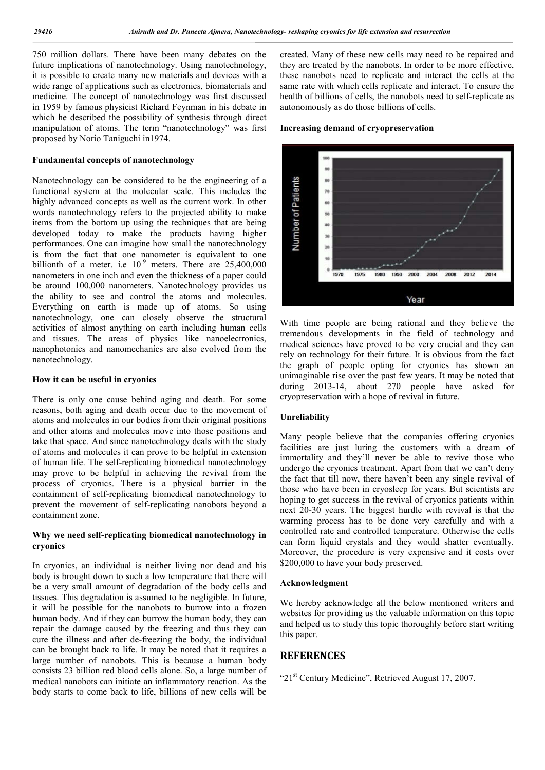750 million dollars. There have been many debates on the future implications of nanotechnology. Using nanotechnology, it is possible to create many new materials and devices with a wide range of applications such as electronics, biomaterials and medicine. The concept of nanotechnology was first discussed in 1959 by famous physicist Richard Feynman in his debate in which he described the possibility of synthesis through direct manipulation of atoms. The term "nanotechnology" was first proposed by Norio Taniguchi in1974.

### **Fundamental concepts of nanotechnology**

Nanotechnology can be considered to be the engineering of a functional system at the molecular scale. This includes the highly advanced concepts as well as the current work. In other words nanotechnology refers to the projected ability to make items from the bottom up using the techniques that are being developed today to make the products having higher performances. One can imagine how small the nanotechnology is from the fact that one nanometer is equivalent to one billionth of a meter. i.e  $10^{-9}$  meters. There are 25,400,000 nanometers in one inch and even the thickness of a paper could be around 100,000 nanometers. Nanotechnology provides us the ability to see and control the atoms and molecules. Everything on earth is made up of atoms. So using nanotechnology, one can closely observe the structural activities of almost anything on earth including human cells and tissues. The areas of physics like nanoelectronics, nanophotonics and nanomechanics are also evolved from the nanotechnology.

#### **How it can be useful in cryonics**

There is only one cause behind aging and death. For some reasons, both aging and death occur due to the movement of atoms and molecules in our bodies from their original positions and other atoms and molecules move into those positions and take that space. And since nanotechnology deals with the study of atoms and molecules it can prove to be helpful in extension of human life. The self-replicating biomedical nanotechnology may prove to be helpful in achieving the revival from the process of cryonics. There is a physical barrier in the containment of self-replicating biomedical nanotechnology to prevent the movement of self-replicating nanobots beyond a containment zone.

## **Why we need self-replicating biomedical nanotechnology in cryonics**

In cryonics, an individual is neither living nor dead and his body is brought down to such a low temperature that there will be a very small amount of degradation of the body cells and tissues. This degradation is assumed to be negligible. In future, it will be possible for the nanobots to burrow into a frozen human body. And if they can burrow the human body, they can repair the damage caused by the freezing and thus they can cure the illness and after de-freezing the body, the individual can be brought back to life. It may be noted that it requires a large number of nanobots. This is because a human body consists 23 billion red blood cells alone. So, a large number of medical nanobots can initiate an inflammatory reaction. As the body starts to come back to life, billions of new cells will be

created. Many of these new cells may need to be repaired and they are treated by the nanobots. In order to be more effective, these nanobots need to replicate and interact the cells at the same rate with which cells replicate and interact. To ensure the health of billions of cells, the nanobots need to self-replicate as autonomously as do those billions of cells.

#### **Increasing demand of cryopreservation**



With time people are being rational and they believe the tremendous developments in the field of technology and medical sciences have proved to be very crucial and they can rely on technology for their future. It is obvious from the fact the graph of people opting for cryonics has shown an unimaginable rise over the past few years. It may be noted that during 2013-14, about 270 people have asked for cryopreservation with a hope of revival in future.

## **Unreliability**

Many people believe that the companies offering cryonics facilities are just luring the customers with a dream of immortality and they'll never be able to revive those who undergo the cryonics treatment. Apart from that we can't deny the fact that till now, there haven't been any single revival of those who have been in cryosleep for years. But scientists are hoping to get success in the revival of cryonics patients within next 20-30 years. The biggest hurdle with revival is that the warming process has to be done very carefully and with a controlled rate and controlled temperature. Otherwise the cells can form liquid crystals and they would shatter eventually. Moreover, the procedure is very expensive and it costs over \$200,000 to have your body preserved.

### **Acknowledgment**

We hereby acknowledge all the below mentioned writers and websites for providing us the valuable information on this topic and helped us to study this topic thoroughly before start writing this paper.

## **REFERENCES**

"21<sup>st</sup> Century Medicine", Retrieved August 17, 2007.